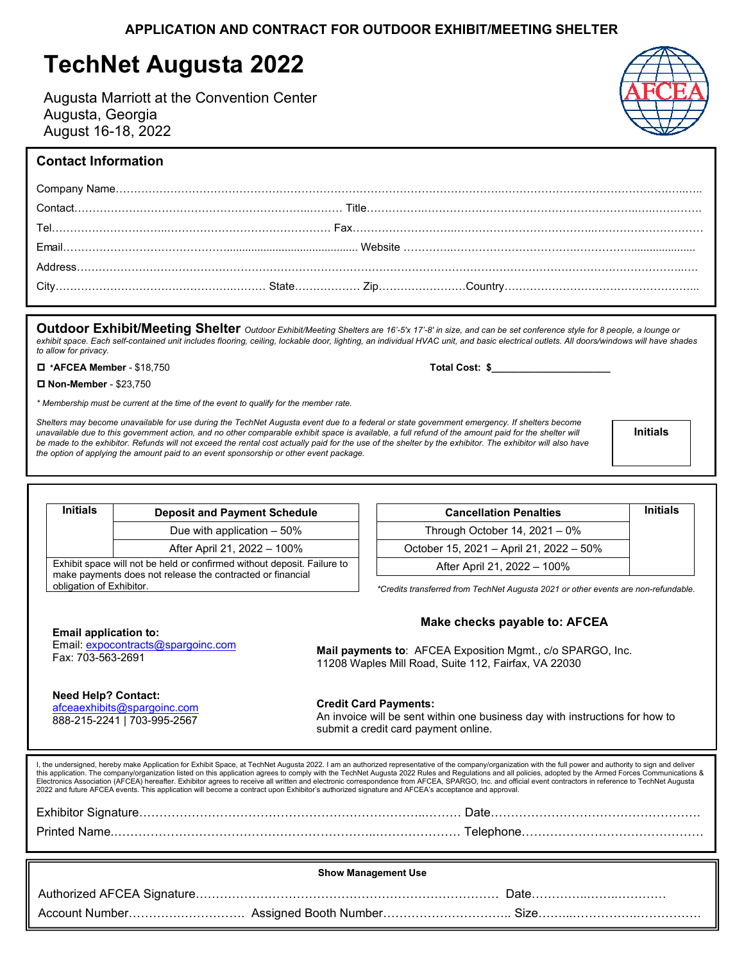# **TechNet Augusta 2022**

Augusta Marriott at the Convention Center Augusta, Georgia August 16-18, 2022

**Outdoor Exhibit/Meeting Shelter** *Outdoor Exhibit/Meeting Shelters are 16'-5'x 17'-8' in size, and can be set conference style for 8 people, a lounge or* exhibit space. Each self-contained unit includes flooring, ceiling, lockable door, lighting, an individual HVAC unit, and basic electrical outlets. All doors/windows will have shades *to allow for privacy.*

**\*AFCEA Member** - \$18,750 **Total Cost: \$\_\_\_\_\_\_\_\_\_\_\_\_\_\_\_\_\_\_\_\_\_\_**

**Need Help? Contact:**  [afceaexhibits@spargoinc.com](mailto:afceaexhibits@spargoinc.com) 888-215-2241 | 703-995-2567

**Non-Member** - \$23,750

*\* Membership must be current at the time of the event to qualify for the member rate.*

Shelters may become unavailable for use during the TechNet Augusta event due to a federal or state government emergency. If shelters become unavailable due to this government action, and no other comparable exhibit space is available, a full refund of the amount paid for the shelter will be made to the exhibitor. Refunds will not exceed the rental cost actually paid for the use of the shelter by the exhibitor. The exhibitor will also have *the option of applying the amount paid to an event sponsorship or other event package.* 

**Initials**

| Due with application $-50\%$                    |  |  |
|-------------------------------------------------|--|--|
| After April 21, 2022 - 100%                     |  |  |
| e held or confirmed without deposit. Failure to |  |  |

Exhibit space will not b make payments does not release the contracted or financial obligation of Exhibitor.

**Initials Deposit and Payment Schedule**

| <b>Cancellation Penalties</b>           | <b>Initials</b> |
|-----------------------------------------|-----------------|
| Through October 14, $2021 - 0\%$        |                 |
| October 15, 2021 - April 21, 2022 - 50% |                 |
| After April 21, 2022 - 100%             |                 |

*\*Credits transferred from TechNet Augusta 2021 or other events are non-refundable.* 

AFCEA Exposition Mgmt., c/o SPARGO, Inc.

 **Make checks payable to: AFCEA**

| <b>Email application to:</b>       | <b>Make checks payable to: AF</b>                        |
|------------------------------------|----------------------------------------------------------|
| Email: expocontracts@spargoinc.com | <b>Mail payments to: AFCEA Exposition Mgmt., c/o SPA</b> |
| Fax: 703-563-2691                  | 11208 Waples Mill Road, Suite 112, Fairfax, VA 22030     |

## **Credit Card Payments:**

An invoice will be sent within one business day with instructions for how to submit a credit card payment online.

I, the undersigned, hereby make Application for Exhibit Space, at TechNet Augusta 2022. I am an authorized representative of the company/organization with the full power and authority to sign and deliver this application. The company/organization listed on this application agrees to comply with the TechNet Augusta 2022 Rules and Regulations and all policies, adopted by the Armed Forces Communications & Electronics Association (AFCEA) hereafter. Exhibitor agrees to receive all written and electronic correspondence from AFCEA, SPARGO, Inc. and official event contractors in reference to TechNet Augusta 2022 and future AFCEA events. This application will become a contract upon Exhibitor's authorized signature and AFCEA's acceptance and approval.

| <b>Printed Name</b> | Telephone. |
|---------------------|------------|
|                     |            |

| <b>Show Management Use</b> |  |  |  |  |
|----------------------------|--|--|--|--|
|                            |  |  |  |  |
|                            |  |  |  |  |